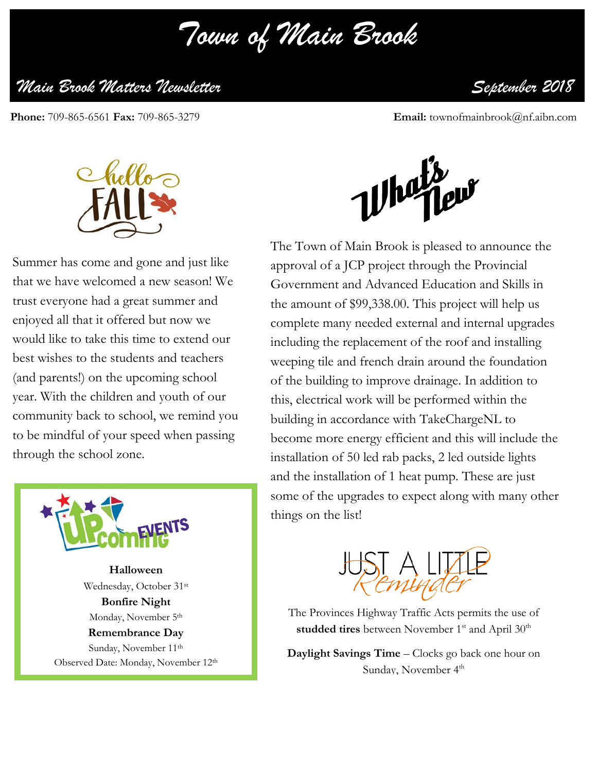*Town of Main Brook*

## *Main Brook Matters Newsletter September 2018*

Phone: 709-865-6561 Fax: 709-865-3279

**Email:** townofmainbrook@nf.aibn.com



Summer has come and gone and just like that we have welcomed a new season! We trust everyone had a great summer and enjoyed all that it offered but now we would like to take this time to extend our best wishes to the students and teachers (and parents!) on the upcoming school year. With the children and youth of our community back to school, we remind you to be mindful of your speed when passing through the school zone.



**Halloween** Wednesday, October 31st **Bonfire Night** Monday, November 5<sup>th</sup> **Remembrance Day** Sunday, November 11<sup>th</sup> Observed Date: Monday, November 12th



The Town of Main Brook is pleased to announce the approval of a JCP project through the Provincial Government and Advanced Education and Skills in the amount of \$99,338.00. This project will help us complete many needed external and internal upgrades including the replacement of the roof and installing weeping tile and french drain around the foundation of the building to improve drainage. In addition to this, electrical work will be performed within the building in accordance with TakeChargeNL to become more energy efficient and this will include the installation of 50 led rab packs, 2 led outside lights and the installation of 1 heat pump. These are just some of the upgrades to expect along with many other things on the list!



The Provinces Highway Traffic Acts permits the use of studded tires between November 1<sup>st</sup> and April 30<sup>th</sup>

**Daylight Savings Time** – Clocks go back one hour on Sunday, November 4<sup>th</sup>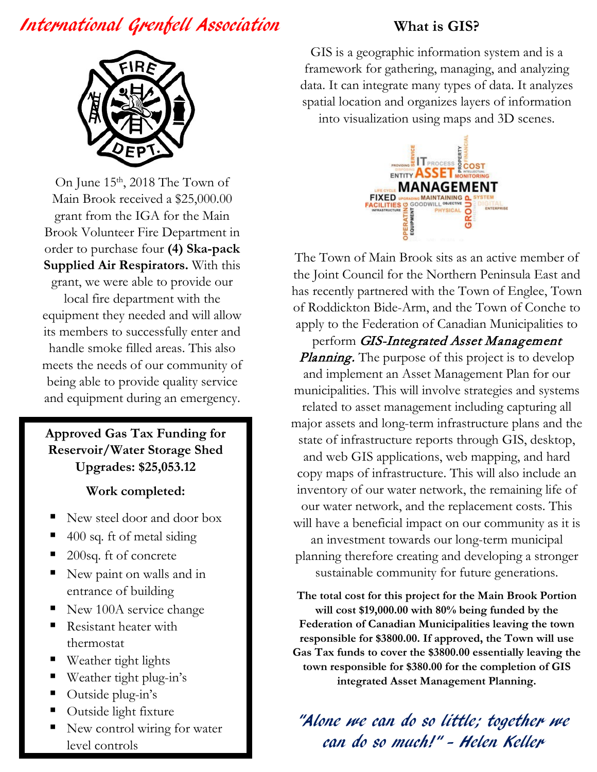## International Grenfell Association

## **What is GIS?**



On June 15<sup>th</sup>, 2018 The Town of Main Brook received a \$25,000.00 grant from the IGA for the Main Brook Volunteer Fire Department in order to purchase four **(4) Ska-pack Supplied Air Respirators.** With this grant, we were able to provide our

local fire department with the equipment they needed and will allow its members to successfully enter and handle smoke filled areas. This also meets the needs of our community of being able to provide quality service and equipment during an emergency.

**Approved Gas Tax Funding for Reservoir/Water Storage Shed Upgrades: \$25,053.12**

**Work completed:**

- New steel door and door box
- 400 sq. ft of metal siding
- 200sq. ft of concrete
- New paint on walls and in entrance of building
- New 100A service change
- Resistant heater with thermostat
- Weather tight lights
- Weather tight plug-in's
- Outside plug-in's
- Outside light fixture
- New control wiring for water level controls

GIS is a geographic information system and is a framework for gathering, managing, and analyzing data. It can integrate many types of data. It analyzes spatial location and organizes layers of information into visualization using maps and 3D scenes.



The Town of Main Brook sits as an active member of the Joint Council for the Northern Peninsula East and has recently partnered with the Town of Englee, Town of Roddickton Bide-Arm, and the Town of Conche to apply to the Federation of Canadian Municipalities to

perform *GIS-Integrated Asset Management* **Planning.** The purpose of this project is to develop and implement an Asset Management Plan for our municipalities. This will involve strategies and systems related to asset management including capturing all major assets and long-term infrastructure plans and the state of infrastructure reports through GIS, desktop, and web GIS applications, web mapping, and hard copy maps of infrastructure. This will also include an inventory of our water network, the remaining life of our water network, and the replacement costs. This will have a beneficial impact on our community as it is an investment towards our long-term municipal planning therefore creating and developing a stronger sustainable community for future generations.

**The total cost for this project for the Main Brook Portion will cost \$19,000.00 with 80% being funded by the Federation of Canadian Municipalities leaving the town responsible for \$3800.00. If approved, the Town will use Gas Tax funds to cover the \$3800.00 essentially leaving the town responsible for \$380.00 for the completion of GIS integrated Asset Management Planning.**

"Alone we can do so little; together we can do so much!" - Helen Keller